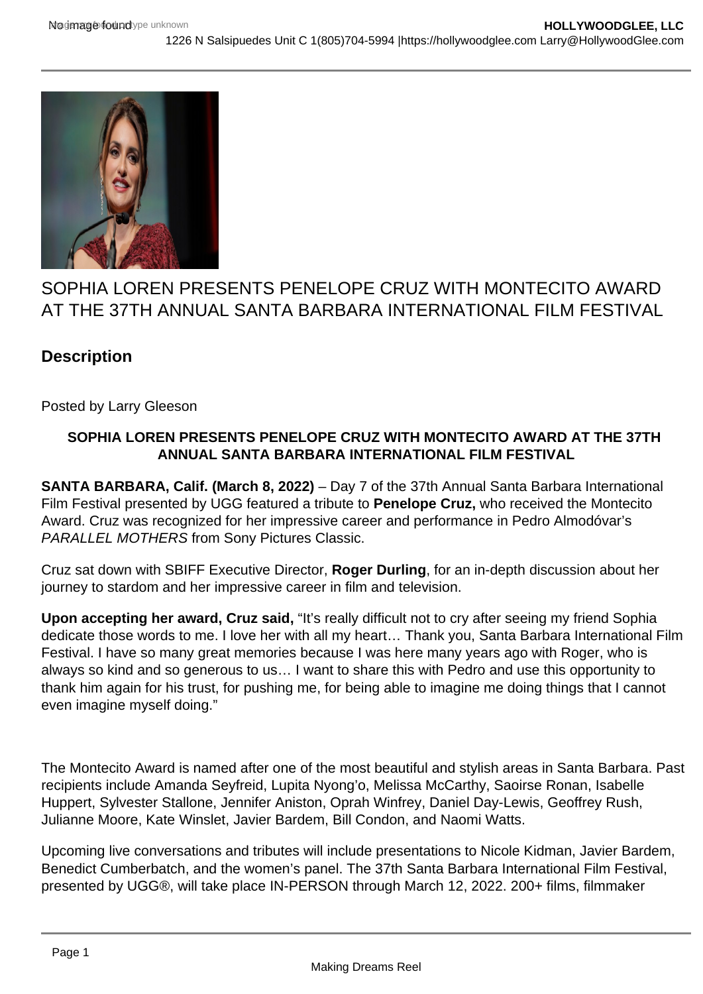

## SOPHIA LOREN PRESENTS PENELOPE CRUZ WITH MONTECITO AWARD AT THE 37TH ANNUAL SANTA BARBARA INTERNATIONAL FILM FESTIVAL

## **Description**

Posted by Larry Gleeson

## **SOPHIA LOREN PRESENTS PENELOPE CRUZ WITH MONTECITO AWARD AT THE 37TH ANNUAL SANTA BARBARA INTERNATIONAL FILM FESTIVAL**

**SANTA BARBARA, Calif. (March 8, 2022)** – Day 7 of the 37th Annual Santa Barbara International Film Festival presented by UGG featured a tribute to **Penelope Cruz,** who received the Montecito Award. Cruz was recognized for her impressive career and performance in Pedro Almodóvar's PARALLEL MOTHERS from Sony Pictures Classic.

Cruz sat down with SBIFF Executive Director, **Roger Durling**, for an in-depth discussion about her journey to stardom and her impressive career in film and television.

**Upon accepting her award, Cruz said,** "It's really difficult not to cry after seeing my friend Sophia dedicate those words to me. I love her with all my heart… Thank you, Santa Barbara International Film Festival. I have so many great memories because I was here many years ago with Roger, who is always so kind and so generous to us… I want to share this with Pedro and use this opportunity to thank him again for his trust, for pushing me, for being able to imagine me doing things that I cannot even imagine myself doing."

The Montecito Award is named after one of the most beautiful and stylish areas in Santa Barbara. Past recipients include Amanda Seyfreid, Lupita Nyong'o, Melissa McCarthy, Saoirse Ronan, Isabelle Huppert, Sylvester Stallone, Jennifer Aniston, Oprah Winfrey, Daniel Day-Lewis, Geoffrey Rush, Julianne Moore, Kate Winslet, Javier Bardem, Bill Condon, and Naomi Watts.

Upcoming live conversations and tributes will include presentations to Nicole Kidman, Javier Bardem, Benedict Cumberbatch, and the women's panel. The 37th Santa Barbara International Film Festival, presented by UGG®, will take place IN-PERSON through March 12, 2022. 200+ films, filmmaker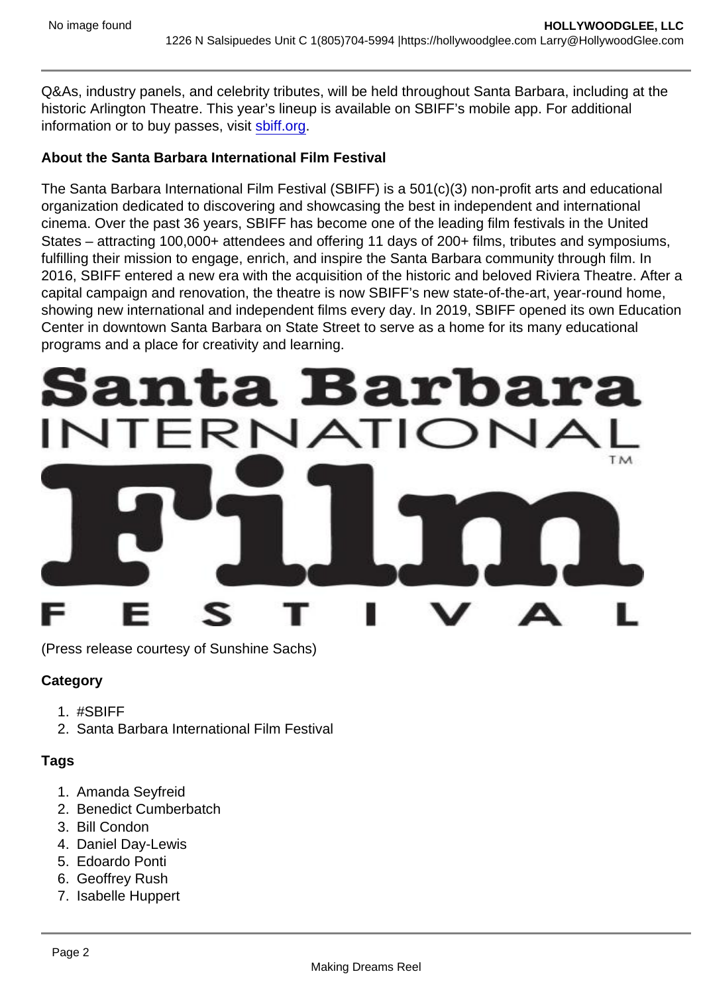Q&As, industry panels, and celebrity tributes, will be held throughout Santa Barbara, including at the historic Arlington Theatre. This year's lineup is available on SBIFF's mobile app. For additional information or to buy passes, visit [sbiff.org](http://sbiff.org).

About the Santa Barbara International Film Festival

The Santa Barbara International Film Festival (SBIFF) is a 501(c)(3) non-profit arts and educational organization dedicated to discovering and showcasing the best in independent and international cinema. Over the past 36 years, SBIFF has become one of the leading film festivals in the United States – attracting 100,000+ attendees and offering 11 days of 200+ films, tributes and symposiums, fulfilling their mission to engage, enrich, and inspire the Santa Barbara community through film. In 2016, SBIFF entered a new era with the acquisition of the historic and beloved Riviera Theatre. After a capital campaign and renovation, the theatre is now SBIFF's new state-of-the-art, year-round home, showing new international and independent films every day. In 2019, SBIFF opened its own Education Center in downtown Santa Barbara on State Street to serve as a home for its many educational programs and a place for creativity and learning.

(Press release courtesy of Sunshine Sachs)

**Category** 

- 1. #SBIFF
- 2. Santa Barbara International Film Festival

Tags

- 1. Amanda Seyfreid
- 2. Benedict Cumberbatch
- 3. Bill Condon
- 4. Daniel Day-Lewis
- 5. Edoardo Ponti
- 6. Geoffrey Rush
- 7. Isabelle Huppert